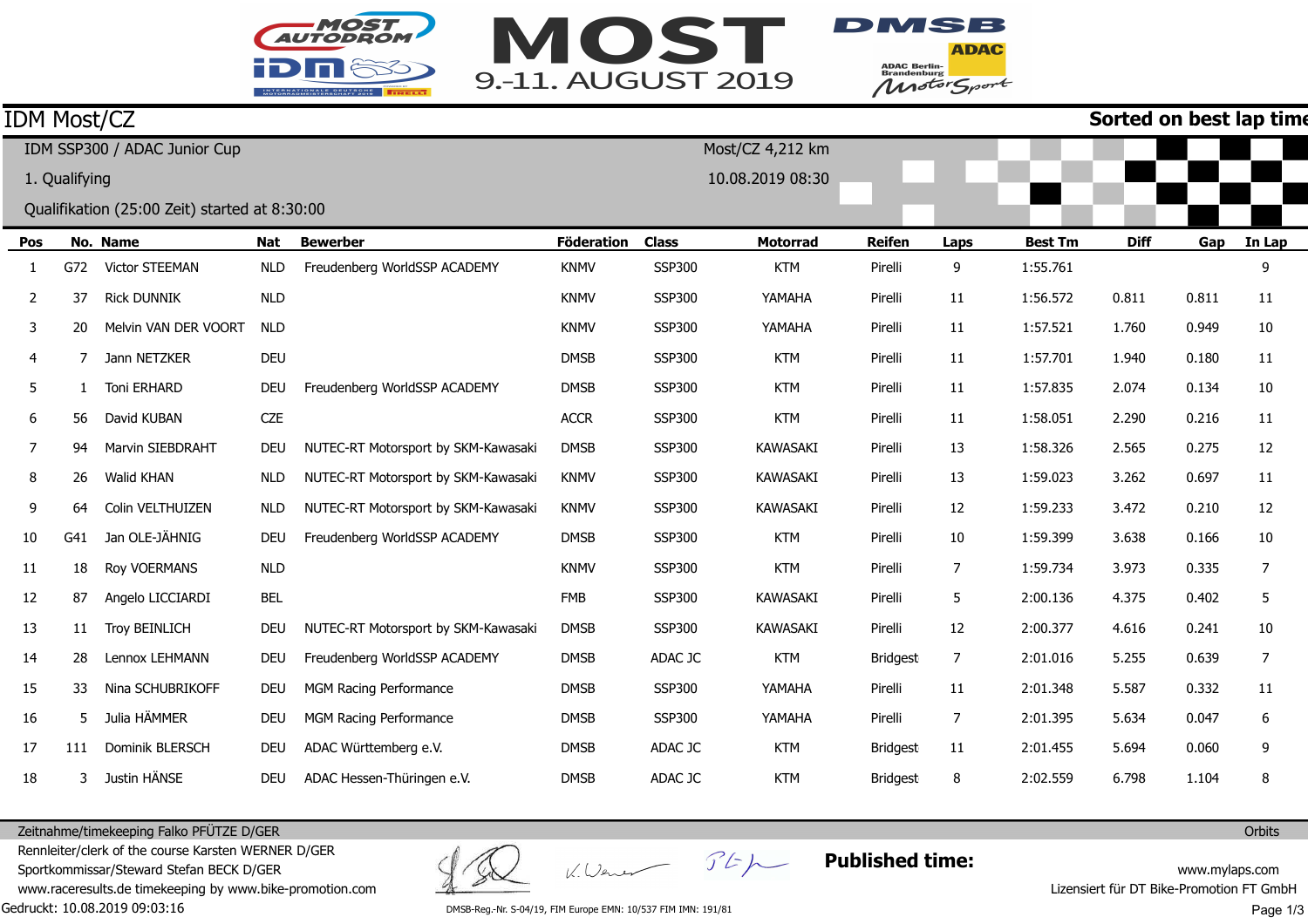



**ADAC** ADAC Berlin-<br>Brandenburg<br>Motor Sport

|                              | IDM Most/CZ<br>Sorted on best lap time |                                               |            |                                     |                   |                  |                  |               |                |                |             |       |        |
|------------------------------|----------------------------------------|-----------------------------------------------|------------|-------------------------------------|-------------------|------------------|------------------|---------------|----------------|----------------|-------------|-------|--------|
| IDM SSP300 / ADAC Junior Cup |                                        |                                               |            |                                     |                   |                  | Most/CZ 4,212 km |               |                |                |             |       |        |
|                              | 1. Qualifying                          |                                               |            |                                     |                   | 10.08.2019 08:30 |                  |               |                |                |             |       |        |
|                              |                                        | Qualifikation (25:00 Zeit) started at 8:30:00 |            |                                     |                   |                  |                  |               |                |                |             |       |        |
| Pos                          |                                        | No. Name                                      | Nat        | <b>Bewerber</b>                     | <b>Föderation</b> | <b>Class</b>     | <b>Motorrad</b>  | <b>Reifen</b> | Laps           | <b>Best Tm</b> | <b>Diff</b> | Gap   | In Lap |
| 1                            | G72                                    | <b>Victor STEEMAN</b>                         | <b>NLD</b> | Freudenberg WorldSSP ACADEMY        | <b>KNMV</b>       | <b>SSP300</b>    | <b>KTM</b>       | Pirelli       | 9              | 1:55.761       |             |       | 9      |
| 2                            | 37                                     | <b>Rick DUNNIK</b>                            | <b>NLD</b> |                                     | <b>KNMV</b>       | <b>SSP300</b>    | YAMAHA           | Pirelli       | 11             | 1:56.572       | 0.811       | 0.811 | 11     |
| 3                            | 20                                     | Melvin VAN DER VOORT                          | <b>NLD</b> |                                     | <b>KNMV</b>       | <b>SSP300</b>    | YAMAHA           | Pirelli       | 11             | 1:57.521       | 1.760       | 0.949 | 10     |
| 4                            | 7                                      | Jann NETZKER                                  | <b>DEU</b> |                                     | <b>DMSB</b>       | <b>SSP300</b>    | <b>KTM</b>       | Pirelli       | 11             | 1:57.701       | 1.940       | 0.180 | 11     |
| 5                            | 1                                      | Toni ERHARD                                   | <b>DEU</b> | Freudenberg WorldSSP ACADEMY        | <b>DMSB</b>       | SSP300           | <b>KTM</b>       | Pirelli       | 11             | 1:57.835       | 2.074       | 0.134 | 10     |
| 6                            | 56                                     | David KUBAN                                   | <b>CZE</b> |                                     | <b>ACCR</b>       | <b>SSP300</b>    | <b>KTM</b>       | Pirelli       | 11             | 1:58.051       | 2.290       | 0.216 | 11     |
| 7                            | 94                                     | Marvin SIEBDRAHT                              | <b>DEU</b> | NUTEC-RT Motorsport by SKM-Kawasaki | <b>DMSB</b>       | <b>SSP300</b>    | <b>KAWASAKI</b>  | Pirelli       | 13             | 1:58.326       | 2.565       | 0.275 | 12     |
| 8                            | 26                                     | Walid KHAN                                    | <b>NLD</b> | NUTEC-RT Motorsport by SKM-Kawasaki | <b>KNMV</b>       | SSP300           | <b>KAWASAKI</b>  | Pirelli       | 13             | 1:59.023       | 3.262       | 0.697 | 11     |
| 9                            | 64                                     | Colin VELTHUIZEN                              | <b>NLD</b> | NUTEC-RT Motorsport by SKM-Kawasaki | <b>KNMV</b>       | SSP300           | <b>KAWASAKI</b>  | Pirelli       | 12             | 1:59.233       | 3.472       | 0.210 | 12     |
| 10                           | G41                                    | Jan OLE-JÄHNIG                                | <b>DEU</b> | Freudenberg WorldSSP ACADEMY        | <b>DMSB</b>       | <b>SSP300</b>    | <b>KTM</b>       | Pirelli       | 10             | 1:59.399       | 3.638       | 0.166 | 10     |
| 11                           | 18                                     | Roy VOERMANS                                  | <b>NLD</b> |                                     | <b>KNMV</b>       | SSP300           | <b>KTM</b>       | Pirelli       | 7              | 1:59.734       | 3.973       | 0.335 | 7      |
| 12                           | 87                                     | Angelo LICCIARDI                              | <b>BEL</b> |                                     | <b>FMB</b>        | <b>SSP300</b>    | <b>KAWASAKI</b>  | Pirelli       | 5              | 2:00.136       | 4.375       | 0.402 | 5      |
| 13                           | 11                                     | <b>Troy BEINLICH</b>                          | DEU        | NUTEC-RT Motorsport by SKM-Kawasaki | <b>DMSB</b>       | <b>SSP300</b>    | <b>KAWASAKI</b>  | Pirelli       | 12             | 2:00.377       | 4.616       | 0.241 | 10     |
| 14                           | 28                                     | Lennox LEHMANN                                | <b>DEU</b> | Freudenberg WorldSSP ACADEMY        | <b>DMSB</b>       | ADAC JC          | <b>KTM</b>       | Bridgest      | $\overline{7}$ | 2:01.016       | 5.255       | 0.639 | 7      |
| 15                           | 33                                     | Nina SCHUBRIKOFF                              | <b>DEU</b> | MGM Racing Performance              | <b>DMSB</b>       | <b>SSP300</b>    | YAMAHA           | Pirelli       | 11             | 2:01.348       | 5.587       | 0.332 | 11     |
| 16                           | 5                                      | Julia HÄMMER                                  | <b>DEU</b> | MGM Racing Performance              | <b>DMSB</b>       | <b>SSP300</b>    | YAMAHA           | Pirelli       | 7              | 2:01.395       | 5.634       | 0.047 | 6      |
| 17                           | 111                                    | Dominik BLERSCH                               | <b>DEU</b> | ADAC Württemberg e.V.               | <b>DMSB</b>       | ADAC JC          | <b>KTM</b>       | Bridgest      | 11             | 2:01.455       | 5.694       | 0.060 | 9      |
| 18                           |                                        | Justin HÄNSE                                  | <b>DEU</b> | ADAC Hessen-Thüringen e.V.          | <b>DMSB</b>       | ADAC JC          | <b>KTM</b>       | Bridgest      | 8              | 2:02.559       | 6.798       | 1.104 | 8      |

Zeitnahme/timekeeping Falko PFÜTZE D/GER

Gedruckt: 10.08.2019 09:03:16 Rennleiter/clerk of the course Karsten WERNER D/GERSportkommissar/Steward Stefan BECK D/GER www.raceresults.de timekeeping by www.bike-promotion.com

K. Wener

 $55 - 10$ 

**Published time:**

www.mylaps.com Lizensiert für DT Bike-Promotion FT GmbH

DMSB-Reg.-Nr. S-04/19, FIM Europe EMN: 10/537 FIM IMN: 191/81

Page 1/3

**Orbits**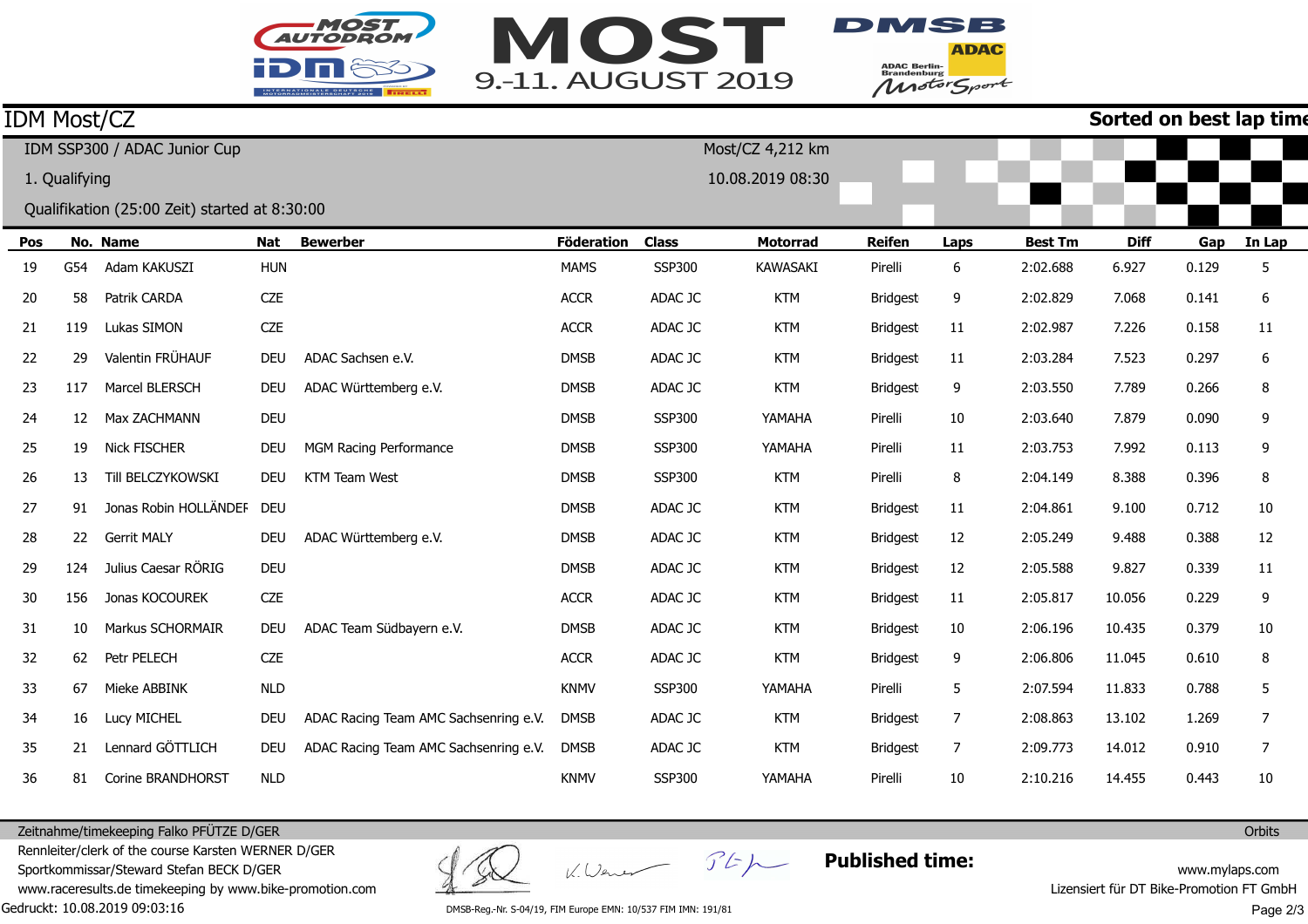



**ADAC** ADAC Berlin-<br>Brandenburg<br>Motor Sport

## IDM Most/CZ

**Sorted on best lap time**

|               |     | IDM SSP300 / ADAC Junior Cup                  |            |                                       | Most/CZ 4,212 km  |               |                  |                 |      |                |             |       |        |
|---------------|-----|-----------------------------------------------|------------|---------------------------------------|-------------------|---------------|------------------|-----------------|------|----------------|-------------|-------|--------|
| 1. Qualifying |     |                                               |            |                                       |                   |               | 10.08.2019 08:30 |                 |      |                |             |       |        |
|               |     | Qualifikation (25:00 Zeit) started at 8:30:00 |            |                                       |                   |               |                  |                 |      |                |             |       |        |
| Pos           |     | No. Name                                      | Nat        | <b>Bewerber</b>                       | <b>Föderation</b> | <b>Class</b>  | <b>Motorrad</b>  | <b>Reifen</b>   | Laps | <b>Best Tm</b> | <b>Diff</b> | Gap   | In Lap |
| 19            | G54 | Adam KAKUSZI                                  | <b>HUN</b> |                                       | <b>MAMS</b>       | <b>SSP300</b> | <b>KAWASAKI</b>  | Pirelli         | 6    | 2:02.688       | 6.927       | 0.129 | 5      |
| 20            | 58  | Patrik CARDA                                  | <b>CZE</b> |                                       | <b>ACCR</b>       | ADAC JC       | <b>KTM</b>       | <b>Bridgest</b> | 9    | 2:02.829       | 7.068       | 0.141 | 6      |
| 21            | 119 | Lukas SIMON                                   | <b>CZE</b> |                                       | <b>ACCR</b>       | ADAC JC       | <b>KTM</b>       | <b>Bridgest</b> | 11   | 2:02.987       | 7.226       | 0.158 | 11     |
| 22            | 29  | Valentin FRÜHAUF                              | <b>DEU</b> | ADAC Sachsen e.V.                     | <b>DMSB</b>       | ADAC JC       | <b>KTM</b>       | <b>Bridgest</b> | 11   | 2:03.284       | 7.523       | 0.297 | 6      |
| 23            | 117 | Marcel BLERSCH                                | <b>DEU</b> | ADAC Württemberg e.V.                 | <b>DMSB</b>       | ADAC JC       | <b>KTM</b>       | Bridgest        | 9    | 2:03.550       | 7.789       | 0.266 | 8      |
| 24            | 12  | Max ZACHMANN                                  | <b>DEU</b> |                                       | <b>DMSB</b>       | <b>SSP300</b> | YAMAHA           | Pirelli         | 10   | 2:03.640       | 7.879       | 0.090 | 9      |
| 25            | 19  | Nick FISCHER                                  | <b>DEU</b> | MGM Racing Performance                | <b>DMSB</b>       | <b>SSP300</b> | YAMAHA           | Pirelli         | 11   | 2:03.753       | 7.992       | 0.113 | 9      |
| 26            | 13  | Till BELCZYKOWSKI                             | <b>DEU</b> | <b>KTM Team West</b>                  | <b>DMSB</b>       | <b>SSP300</b> | <b>KTM</b>       | Pirelli         | 8    | 2:04.149       | 8.388       | 0.396 | 8      |
| 27            | 91  | Jonas Robin HOLLÄNDEF                         | DEU        |                                       | <b>DMSB</b>       | ADAC JC       | <b>KTM</b>       | <b>Bridgest</b> | 11   | 2:04.861       | 9.100       | 0.712 | 10     |
| 28            | 22  | <b>Gerrit MALY</b>                            | <b>DEU</b> | ADAC Württemberg e.V.                 | <b>DMSB</b>       | ADAC JC       | <b>KTM</b>       | <b>Bridgest</b> | 12   | 2:05.249       | 9.488       | 0.388 | 12     |
| 29            | 124 | Julius Caesar RÖRIG                           | <b>DEU</b> |                                       | <b>DMSB</b>       | ADAC JC       | <b>KTM</b>       | <b>Bridgest</b> | 12   | 2:05.588       | 9.827       | 0.339 | 11     |
| 30            | 156 | Jonas KOCOUREK                                | <b>CZE</b> |                                       | <b>ACCR</b>       | ADAC JC       | <b>KTM</b>       | <b>Bridgest</b> | 11   | 2:05.817       | 10.056      | 0.229 | 9      |
| 31            | 10  | Markus SCHORMAIR                              | <b>DEU</b> | ADAC Team Südbayern e.V.              | <b>DMSB</b>       | ADAC JC       | <b>KTM</b>       | <b>Bridgest</b> | 10   | 2:06.196       | 10.435      | 0.379 | 10     |
| 32            | 62  | Petr PELECH                                   | <b>CZE</b> |                                       | <b>ACCR</b>       | ADAC JC       | <b>KTM</b>       | <b>Bridgest</b> | 9    | 2:06.806       | 11.045      | 0.610 | 8      |
| 33            | 67  | Mieke ABBINK                                  | <b>NLD</b> |                                       | <b>KNMV</b>       | SSP300        | YAMAHA           | Pirelli         | 5    | 2:07.594       | 11.833      | 0.788 | 5      |
| 34            | 16  | Lucy MICHEL                                   | <b>DEU</b> | ADAC Racing Team AMC Sachsenring e.V. | <b>DMSB</b>       | ADAC JC       | <b>KTM</b>       | <b>Bridgest</b> | 7    | 2:08.863       | 13.102      | 1.269 | 7      |
| 35            | 21  | Lennard GÖTTLICH                              | DEU        | ADAC Racing Team AMC Sachsenring e.V. | <b>DMSB</b>       | ADAC JC       | <b>KTM</b>       | <b>Bridgest</b> | 7    | 2:09.773       | 14.012      | 0.910 | 7      |
| 36            | 81  | Corine BRANDHORST                             | <b>NLD</b> |                                       | <b>KNMV</b>       | SSP300        | YAMAHA           | Pirelli         | 10   | 2:10.216       | 14.455      | 0.443 | 10     |

Zeitnahme/timekeeping Falko PFÜTZE D/GER

Gedruckt: 10.08.2019 09:03:16 Rennleiter/clerk of the course Karsten WERNER D/GERSportkommissar/Steward Stefan BECK D/GER www.raceresults.de timekeeping by www.bike-promotion.com

K. Wener

 $F$  $F$ 

**Published time:**

www.mylaps.com Lizensiert für DT Bike-Promotion FT GmbH Page 2/3

**Orbits** 

DMSB-Reg.-Nr. S-04/19, FIM Europe EMN: 10/537 FIM IMN: 191/81